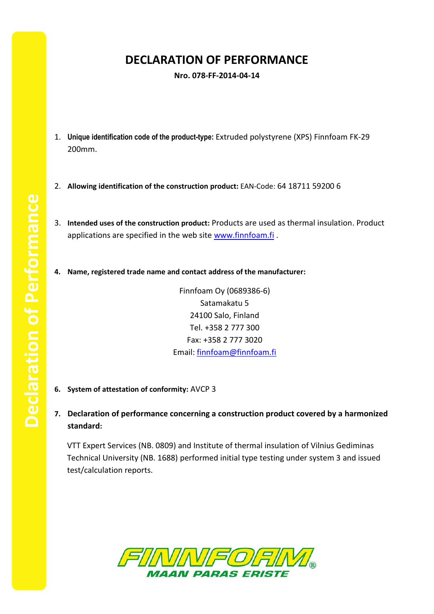## **DECLARATION OF PERFORMANCE**

## **Nro. 078-FF-2014-04-14**

- 1. **Unique identification code of the product-type:** Extruded polystyrene (XPS) Finnfoam FK-29 200mm.
- 2. **Allowing identification of the construction product:** EAN-Code: 64 18711 59200 6
- 3. **Intended uses of the construction product:** Products are used as thermal insulation. Product applications are specified in the web site [www.finnfoam.fi](http://www.finnfoam.fi/).
- **4. Name, registered trade name and contact address of the manufacturer:**

Finnfoam Oy (0689386-6) Satamakatu 5 24100 Salo, Finland Tel. +358 2 777 300 Fax: +358 2 777 3020 Email: [finnfoam@finnfoam.fi](mailto:finnfoam@finnfoam.fi)

- **6. System of attestation of conformity:** AVCP 3
- **7. Declaration of performance concerning a construction product covered by a harmonized standard:**

VTT Expert Services (NB. 0809) and Institute of thermal insulation of Vilnius Gediminas Technical University (NB. 1688) performed initial type testing under system 3 and issued test/calculation reports.